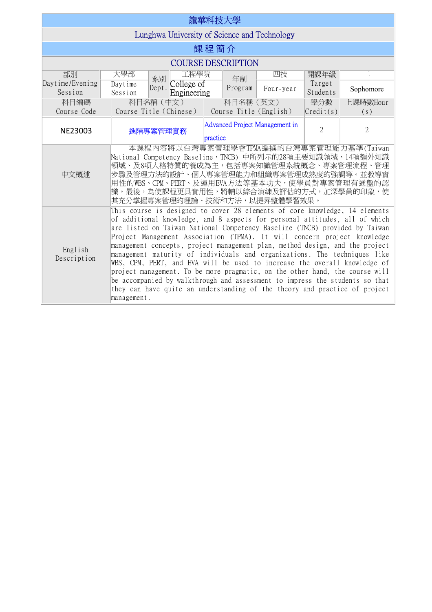| 龍華科技大學                                       |                                                                                                                                                                                                                                                                                                                                                                                                                                                                                                                                                                                                                                                                                                                                                                                                                              |          |           |                                |                    |                 |  |  |  |
|----------------------------------------------|------------------------------------------------------------------------------------------------------------------------------------------------------------------------------------------------------------------------------------------------------------------------------------------------------------------------------------------------------------------------------------------------------------------------------------------------------------------------------------------------------------------------------------------------------------------------------------------------------------------------------------------------------------------------------------------------------------------------------------------------------------------------------------------------------------------------------|----------|-----------|--------------------------------|--------------------|-----------------|--|--|--|
| Lunghwa University of Science and Technology |                                                                                                                                                                                                                                                                                                                                                                                                                                                                                                                                                                                                                                                                                                                                                                                                                              |          |           |                                |                    |                 |  |  |  |
| 課程簡介                                         |                                                                                                                                                                                                                                                                                                                                                                                                                                                                                                                                                                                                                                                                                                                                                                                                                              |          |           |                                |                    |                 |  |  |  |
| <b>COURSE DESCRIPTION</b>                    |                                                                                                                                                                                                                                                                                                                                                                                                                                                                                                                                                                                                                                                                                                                                                                                                                              |          |           |                                |                    |                 |  |  |  |
| 部別                                           | 工程學院<br>大學部<br>系別                                                                                                                                                                                                                                                                                                                                                                                                                                                                                                                                                                                                                                                                                                                                                                                                            |          | 年制        | 四技                             | 開課年級               |                 |  |  |  |
| Daytime/Evening<br>Session                   | College of<br>Daytime<br>Dept.<br>Engineering<br>Session                                                                                                                                                                                                                                                                                                                                                                                                                                                                                                                                                                                                                                                                                                                                                                     |          | Program   | Four-year                      | Target<br>Students | Sophomore       |  |  |  |
| 科目編碼<br>Course Code                          | 科目名稱 (中文)<br>Course Title (Chinese)                                                                                                                                                                                                                                                                                                                                                                                                                                                                                                                                                                                                                                                                                                                                                                                          |          | 科目名稱 (英文) | Course Title (English)         | 學分數<br>Credi(t(s)) | 上課時數Hour<br>(s) |  |  |  |
| NE23003                                      | 進階專案管理實務                                                                                                                                                                                                                                                                                                                                                                                                                                                                                                                                                                                                                                                                                                                                                                                                                     | practice |           | Advanced Project Management in | $\overline{2}$     | $\overline{2}$  |  |  |  |
| 中文概述                                         | 本課程内容將以台灣專案管理學會TPMA編撰的台灣專案管理能力基準(Taiwan<br>National Competency Baseline,TNCB) 中所列示的28項主要知識領域、14項額外知識<br> 領域、及8項人格特質的養成為主,包括專案知識管理系統概念、專案管理流程、管理<br>步驟及管理方法的設計、個人專案管理能力和組織專案管理成熟度的強調等。並教導實<br>用性的WBS、CPM、PERT、及運用EVA方法等基本功夫,使學員對專案管理有通盤的認<br>識。最後,為使課程更具實用性,將輔以綜合演練及評估的方式,加深學員的印象,使<br> 其充分掌握專案管理的理論、技術和方法,以提昇整體學習效果。                                                                                                                                                                                                                                                                                                                                                                                                                                                                                                         |          |           |                                |                    |                 |  |  |  |
| English<br>Description                       | This course is designed to cover 28 elements of core knowledge, 14 elements<br>of additional knowledge, and 8 aspects for personal attitudes, all of which<br>are listed on Taiwan National Competency Baseline (TNCB) provided by Taiwan<br>Project Management Association (TPMA). It will concern project knowledge<br>management concepts, project management plan, method design, and the project<br>management maturity of individuals and organizations. The techniques like<br>WBS, CPM, PERT, and EVA will be used to increase the overall knowledge of<br>project management. To be more pragmatic, on the other hand, the course will<br>be accompanied by walkthrough and assessment to impress the students so that<br>they can have quite an understanding of the theory and practice of project<br>management. |          |           |                                |                    |                 |  |  |  |